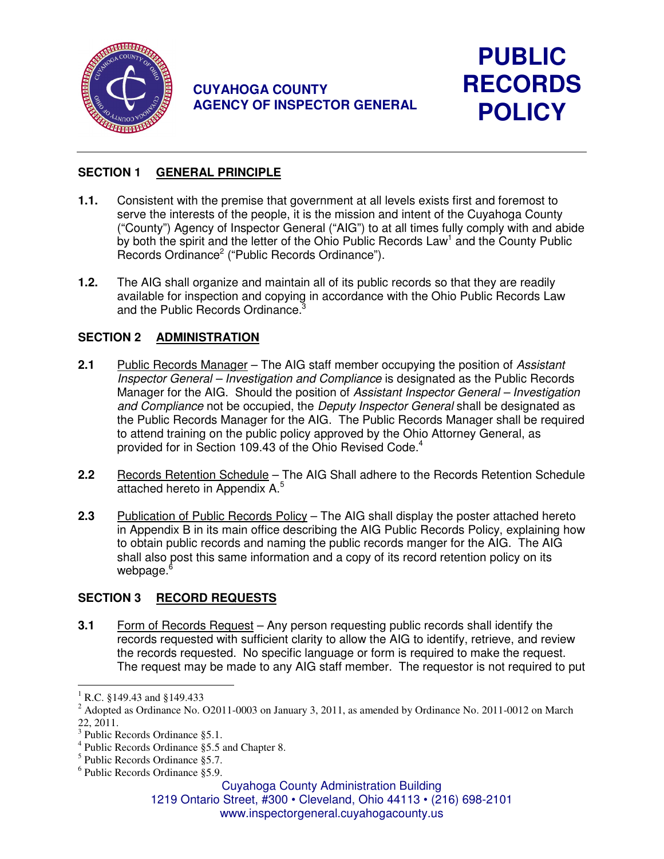

# **CUYAHOGA COUNTY AGENCY OF INSPECTOR GENERAL**



### **SECTION 1 GENERAL PRINCIPLE**

- **1.1.** Consistent with the premise that government at all levels exists first and foremost to serve the interests of the people, it is the mission and intent of the Cuyahoga County ("County") Agency of Inspector General ("AIG") to at all times fully comply with and abide by both the spirit and the letter of the Ohio Public Records Law<sup>1</sup> and the County Public Records Ordinance<sup>2</sup> ("Public Records Ordinance").
- **1.2.** The AIG shall organize and maintain all of its public records so that they are readily available for inspection and copying in accordance with the Ohio Public Records Law and the Public Records Ordinance.<sup>3</sup>

### **SECTION 2 ADMINISTRATION**

- **2.1** Public Records Manager The AIG staff member occupying the position of Assistant Inspector General – Investigation and Compliance is designated as the Public Records Manager for the AIG. Should the position of Assistant Inspector General – Investigation and Compliance not be occupied, the Deputy Inspector General shall be designated as the Public Records Manager for the AIG. The Public Records Manager shall be required to attend training on the public policy approved by the Ohio Attorney General, as provided for in Section 109.43 of the Ohio Revised Code.<sup>4</sup>
- **2.2 Records Retention Schedule** The AIG Shall adhere to the Records Retention Schedule attached hereto in Appendix A.<sup>5</sup>
- **2.3** Publication of Public Records Policy The AIG shall display the poster attached hereto in Appendix B in its main office describing the AIG Public Records Policy, explaining how to obtain public records and naming the public records manger for the AIG. The AIG shall also post this same information and a copy of its record retention policy on its webpage.<sup>6</sup>

## **SECTION 3 RECORD REQUESTS**

**3.1** • Form of Records Request – Any person requesting public records shall identify the records requested with sufficient clarity to allow the AIG to identify, retrieve, and review the records requested. No specific language or form is required to make the request. The request may be made to any AIG staff member. The requestor is not required to put

1219 Ontario Street, #300 • Cleveland, Ohio 44113 • (216) 698-2101 www.inspectorgeneral.cuyahogacounty.us

 $\overline{a}$ 1 R.C. §149.43 and §149.433

<sup>&</sup>lt;sup>2</sup> Adopted as Ordinance No. O2011-0003 on January 3, 2011, as amended by Ordinance No. 2011-0012 on March 22, 2011.

<sup>3</sup> Public Records Ordinance §5.1.

<sup>4</sup> Public Records Ordinance §5.5 and Chapter 8.

<sup>5</sup> Public Records Ordinance §5.7.

<sup>6</sup> Public Records Ordinance §5.9.

Cuyahoga County Administration Building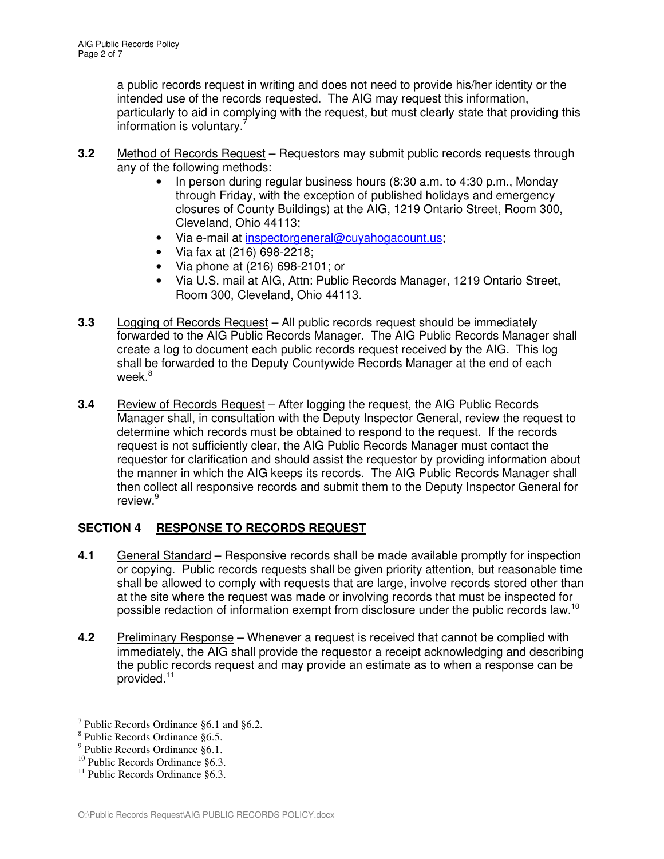a public records request in writing and does not need to provide his/her identity or the intended use of the records requested. The AIG may request this information, particularly to aid in complying with the request, but must clearly state that providing this information is voluntary.<sup>7</sup>

- **3.2** Method of Records Request Requestors may submit public records requests through any of the following methods:
	- In person during regular business hours (8:30 a.m. to 4:30 p.m., Monday through Friday, with the exception of published holidays and emergency closures of County Buildings) at the AIG, 1219 Ontario Street, Room 300, Cleveland, Ohio 44113;
	- Via e-mail at inspectorgeneral@cuyahogacount.us;
	- Via fax at (216) 698-2218;
	- Via phone at (216) 698-2101; or
	- Via U.S. mail at AIG, Attn: Public Records Manager, 1219 Ontario Street, Room 300, Cleveland, Ohio 44113.
- **3.3** Logging of Records Request All public records request should be immediately forwarded to the AIG Public Records Manager. The AIG Public Records Manager shall create a log to document each public records request received by the AIG. This log shall be forwarded to the Deputy Countywide Records Manager at the end of each week.<sup>8</sup>
- **3.4** Review of Records Request After logging the request, the AIG Public Records Manager shall, in consultation with the Deputy Inspector General, review the request to determine which records must be obtained to respond to the request. If the records request is not sufficiently clear, the AIG Public Records Manager must contact the requestor for clarification and should assist the requestor by providing information about the manner in which the AIG keeps its records. The AIG Public Records Manager shall then collect all responsive records and submit them to the Deputy Inspector General for review.<sup>9</sup>

## **SECTION 4 RESPONSE TO RECORDS REQUEST**

- **4.1** General Standard Responsive records shall be made available promptly for inspection or copying. Public records requests shall be given priority attention, but reasonable time shall be allowed to comply with requests that are large, involve records stored other than at the site where the request was made or involving records that must be inspected for possible redaction of information exempt from disclosure under the public records law.<sup>10</sup>
- **4.2** Preliminary Response Whenever a request is received that cannot be complied with immediately, the AIG shall provide the requestor a receipt acknowledging and describing the public records request and may provide an estimate as to when a response can be provided.<sup>11</sup>

 $\overline{a}$ 7 Public Records Ordinance §6.1 and §6.2.

<sup>8</sup> Public Records Ordinance §6.5.

<sup>&</sup>lt;sup>9</sup> Public Records Ordinance §6.1.

 $10$  Public Records Ordinance  $86.3$ .

 $11$  Public Records Ordinance §6.3.